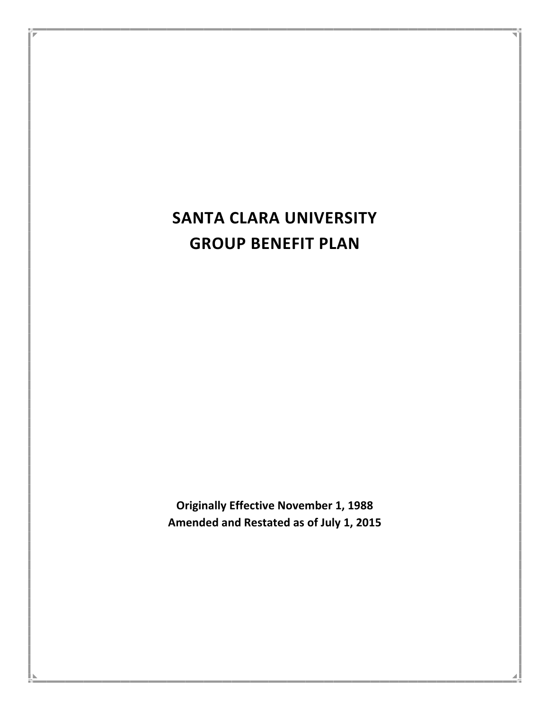# **SANTA CLARA UNIVERSITY GROUP BENEFIT PLAN**

**Originally Effective November 1, 1988** Amended and Restated as of July 1, 2015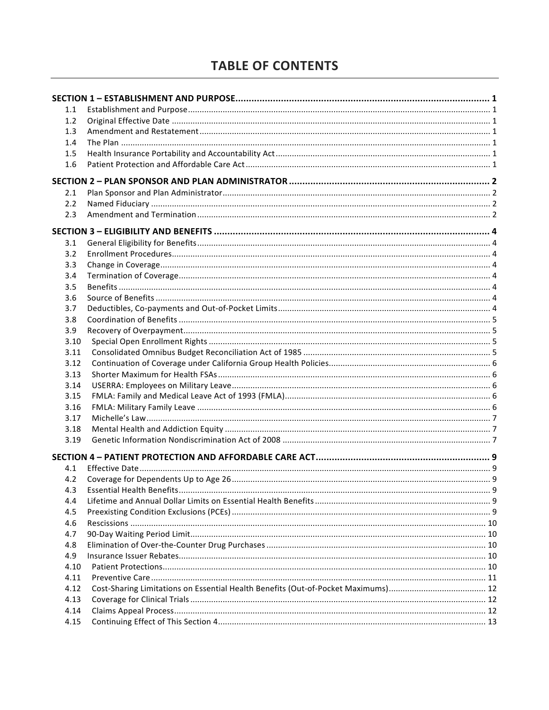# **TABLE OF CONTENTS**

| 1.1     |  |
|---------|--|
| 1.2     |  |
| 1.3     |  |
| 1.4     |  |
| $1.5\,$ |  |
| 1.6     |  |
|         |  |
| 2.1     |  |
| 2.2     |  |
| 2.3     |  |
|         |  |
| 3.1     |  |
| 3.2     |  |
| 3.3     |  |
| 3.4     |  |
| 3.5     |  |
| 3.6     |  |
| 3.7     |  |
| 3.8     |  |
| 3.9     |  |
| 3.10    |  |
| 3.11    |  |
| 3.12    |  |
| 3.13    |  |
| 3.14    |  |
| 3.15    |  |
| 3.16    |  |
| 3.17    |  |
| 3.18    |  |
| 3.19    |  |
|         |  |
| 4.1     |  |
| 4.2     |  |
| 4.3     |  |
| 4.4     |  |
| 4.5     |  |
| 4.6     |  |
| 4.7     |  |
| 4.8     |  |
| 4.9     |  |
| 4.10    |  |
| 4.11    |  |
| 4.12    |  |
| 4.13    |  |
| 4.14    |  |
| 4.15    |  |
|         |  |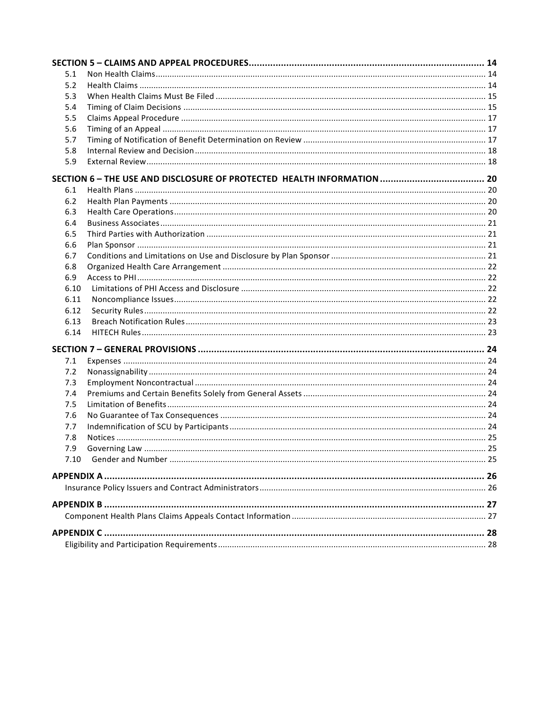| 5.1  |  |
|------|--|
| 5.2  |  |
| 5.3  |  |
| 5.4  |  |
| 5.5  |  |
| 5.6  |  |
| 5.7  |  |
| 5.8  |  |
| 5.9  |  |
|      |  |
| 6.1  |  |
| 6.2  |  |
| 6.3  |  |
| 6.4  |  |
| 6.5  |  |
| 6.6  |  |
| 6.7  |  |
| 6.8  |  |
| 6.9  |  |
| 6.10 |  |
| 6.11 |  |
| 6.12 |  |
| 6.13 |  |
| 6.14 |  |
|      |  |
| 7.1  |  |
| 7.2  |  |
| 7.3  |  |
| 7.4  |  |
| 7.5  |  |
| 7.6  |  |
| 7.7  |  |
| 7.8  |  |
| 7.9  |  |
|      |  |
|      |  |
|      |  |
|      |  |
|      |  |
|      |  |
|      |  |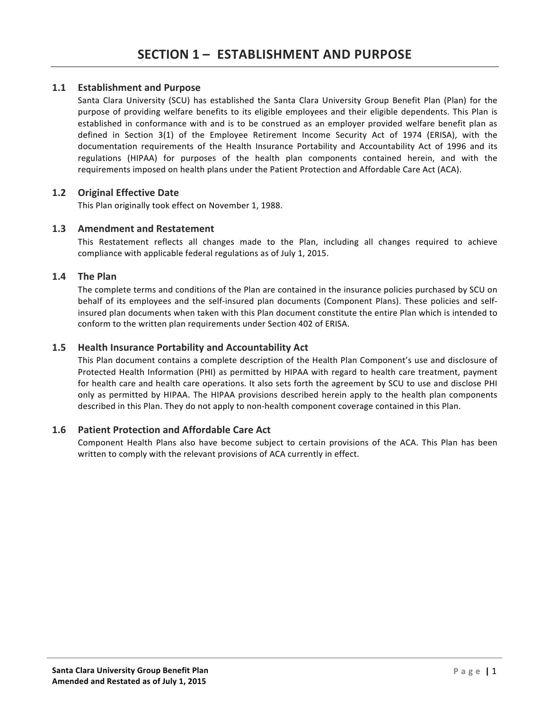# **1.1 Establishment and Purpose**

Santa Clara University (SCU) has established the Santa Clara University Group Benefit Plan (Plan) for the purpose of providing welfare benefits to its eligible employees and their eligible dependents. This Plan is established in conformance with and is to be construed as an employer provided welfare benefit plan as defined in Section 3(1) of the Employee Retirement Income Security Act of 1974 (ERISA), with the documentation requirements of the Health Insurance Portability and Accountability Act of 1996 and its regulations (HIPAA) for purposes of the health plan components contained herein, and with the requirements imposed on health plans under the Patient Protection and Affordable Care Act (ACA).

# **1.2 Original Effective Date**

This Plan originally took effect on November 1, 1988.

# **1.3** Amendment and Restatement

This Restatement reflects all changes made to the Plan, including all changes required to achieve compliance with applicable federal regulations as of July 1, 2015.

# **1.4 The Plan**

The complete terms and conditions of the Plan are contained in the insurance policies purchased by SCU on behalf of its employees and the self-insured plan documents (Component Plans). These policies and selfinsured plan documents when taken with this Plan document constitute the entire Plan which is intended to conform to the written plan requirements under Section 402 of ERISA.

# **1.5 Health Insurance Portability and Accountability Act**

This Plan document contains a complete description of the Health Plan Component's use and disclosure of Protected Health Information (PHI) as permitted by HIPAA with regard to health care treatment, payment for health care and health care operations. It also sets forth the agreement by SCU to use and disclose PHI only as permitted by HIPAA. The HIPAA provisions described herein apply to the health plan components described in this Plan. They do not apply to non-health component coverage contained in this Plan.

# 1.6 Patient Protection and Affordable Care Act

Component Health Plans also have become subject to certain provisions of the ACA. This Plan has been written to comply with the relevant provisions of ACA currently in effect.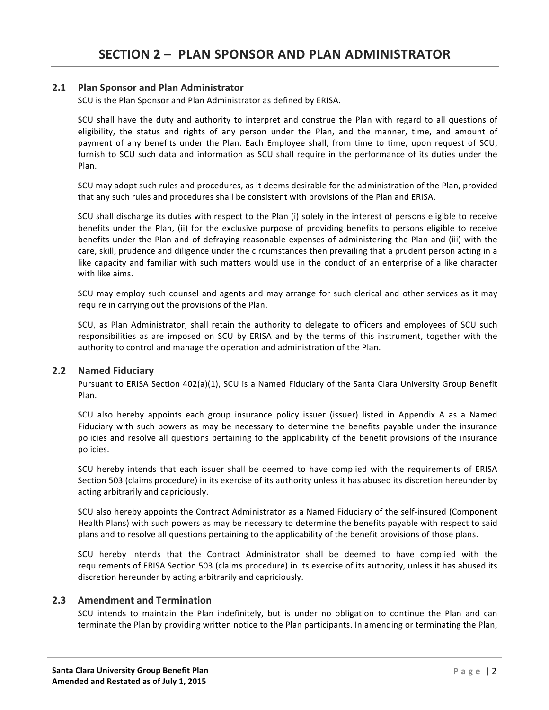# **2.1 Plan Sponsor and Plan Administrator**

SCU is the Plan Sponsor and Plan Administrator as defined by ERISA.

SCU shall have the duty and authority to interpret and construe the Plan with regard to all questions of eligibility, the status and rights of any person under the Plan, and the manner, time, and amount of payment of any benefits under the Plan. Each Employee shall, from time to time, upon request of SCU, furnish to SCU such data and information as SCU shall require in the performance of its duties under the Plan.

SCU may adopt such rules and procedures, as it deems desirable for the administration of the Plan, provided that any such rules and procedures shall be consistent with provisions of the Plan and ERISA.

SCU shall discharge its duties with respect to the Plan (i) solely in the interest of persons eligible to receive benefits under the Plan, (ii) for the exclusive purpose of providing benefits to persons eligible to receive benefits under the Plan and of defraying reasonable expenses of administering the Plan and (iii) with the care, skill, prudence and diligence under the circumstances then prevailing that a prudent person acting in a like capacity and familiar with such matters would use in the conduct of an enterprise of a like character with like aims.

SCU may employ such counsel and agents and may arrange for such clerical and other services as it may require in carrying out the provisions of the Plan.

SCU, as Plan Administrator, shall retain the authority to delegate to officers and employees of SCU such responsibilities as are imposed on SCU by ERISA and by the terms of this instrument, together with the authority to control and manage the operation and administration of the Plan.

#### **2.2 Named Fiduciary**

Pursuant to ERISA Section 402(a)(1), SCU is a Named Fiduciary of the Santa Clara University Group Benefit Plan. 

SCU also hereby appoints each group insurance policy issuer (issuer) listed in Appendix A as a Named Fiduciary with such powers as may be necessary to determine the benefits payable under the insurance policies and resolve all questions pertaining to the applicability of the benefit provisions of the insurance policies. 

SCU hereby intends that each issuer shall be deemed to have complied with the requirements of ERISA Section 503 (claims procedure) in its exercise of its authority unless it has abused its discretion hereunder by acting arbitrarily and capriciously.

SCU also hereby appoints the Contract Administrator as a Named Fiduciary of the self-insured (Component Health Plans) with such powers as may be necessary to determine the benefits payable with respect to said plans and to resolve all questions pertaining to the applicability of the benefit provisions of those plans.

SCU hereby intends that the Contract Administrator shall be deemed to have complied with the requirements of ERISA Section 503 (claims procedure) in its exercise of its authority, unless it has abused its discretion hereunder by acting arbitrarily and capriciously.

#### **2.3** Amendment and Termination

SCU intends to maintain the Plan indefinitely, but is under no obligation to continue the Plan and can terminate the Plan by providing written notice to the Plan participants. In amending or terminating the Plan,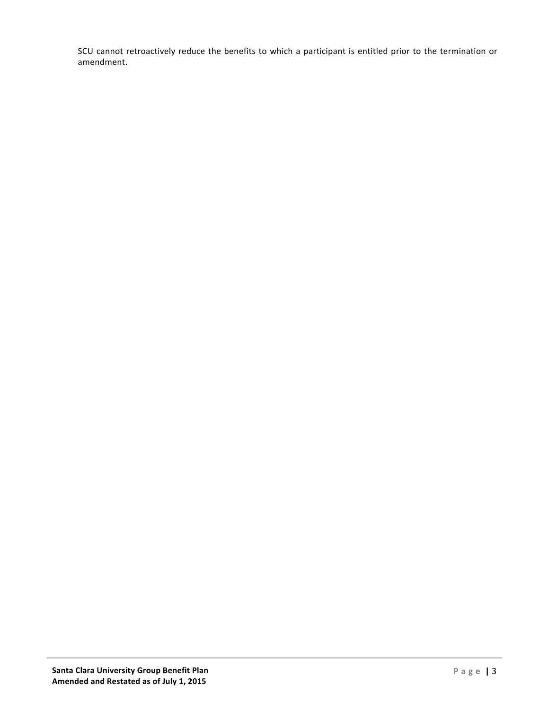SCU cannot retroactively reduce the benefits to which a participant is entitled prior to the termination or amendment.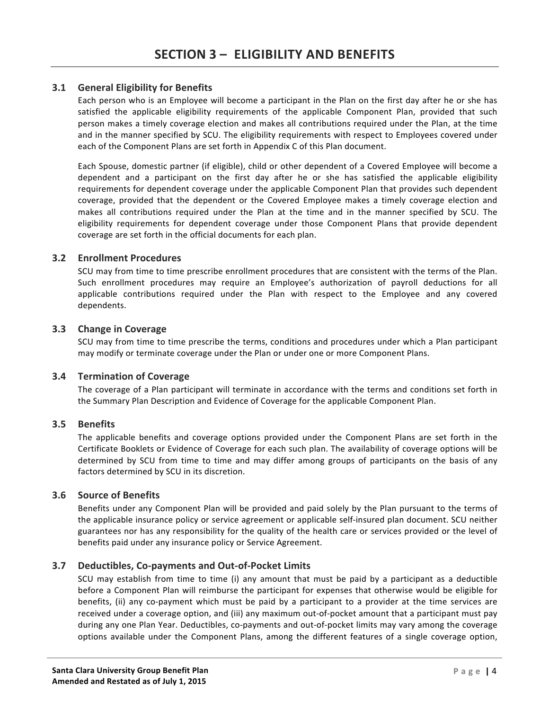# **3.1 General Eligibility for Benefits**

Each person who is an Employee will become a participant in the Plan on the first day after he or she has satisfied the applicable eligibility requirements of the applicable Component Plan, provided that such person makes a timely coverage election and makes all contributions required under the Plan, at the time and in the manner specified by SCU. The eligibility requirements with respect to Employees covered under each of the Component Plans are set forth in Appendix C of this Plan document.

Each Spouse, domestic partner (if eligible), child or other dependent of a Covered Employee will become a dependent and a participant on the first day after he or she has satisfied the applicable eligibility requirements for dependent coverage under the applicable Component Plan that provides such dependent coverage, provided that the dependent or the Covered Employee makes a timely coverage election and makes all contributions required under the Plan at the time and in the manner specified by SCU. The eligibility requirements for dependent coverage under those Component Plans that provide dependent coverage are set forth in the official documents for each plan.

#### **3.2 Enrollment Procedures**

SCU may from time to time prescribe enrollment procedures that are consistent with the terms of the Plan. Such enrollment procedures may require an Employee's authorization of payroll deductions for all applicable contributions required under the Plan with respect to the Employee and any covered dependents.

#### **3.3** Change in Coverage

SCU may from time to time prescribe the terms, conditions and procedures under which a Plan participant may modify or terminate coverage under the Plan or under one or more Component Plans.

#### **3.4 Termination of Coverage**

The coverage of a Plan participant will terminate in accordance with the terms and conditions set forth in the Summary Plan Description and Evidence of Coverage for the applicable Component Plan.

#### **3.5 Benefits**

The applicable benefits and coverage options provided under the Component Plans are set forth in the Certificate Booklets or Evidence of Coverage for each such plan. The availability of coverage options will be determined by SCU from time to time and may differ among groups of participants on the basis of any factors determined by SCU in its discretion.

#### **3.6 Source of Benefits**

Benefits under any Component Plan will be provided and paid solely by the Plan pursuant to the terms of the applicable insurance policy or service agreement or applicable self-insured plan document. SCU neither guarantees nor has any responsibility for the quality of the health care or services provided or the level of benefits paid under any insurance policy or Service Agreement.

#### **3.7 Deductibles, Co-payments and Out-of-Pocket Limits**

SCU may establish from time to time (i) any amount that must be paid by a participant as a deductible before a Component Plan will reimburse the participant for expenses that otherwise would be eligible for benefits, (ii) any co-payment which must be paid by a participant to a provider at the time services are received under a coverage option, and (iii) any maximum out-of-pocket amount that a participant must pay during any one Plan Year. Deductibles, co-payments and out-of-pocket limits may vary among the coverage options available under the Component Plans, among the different features of a single coverage option,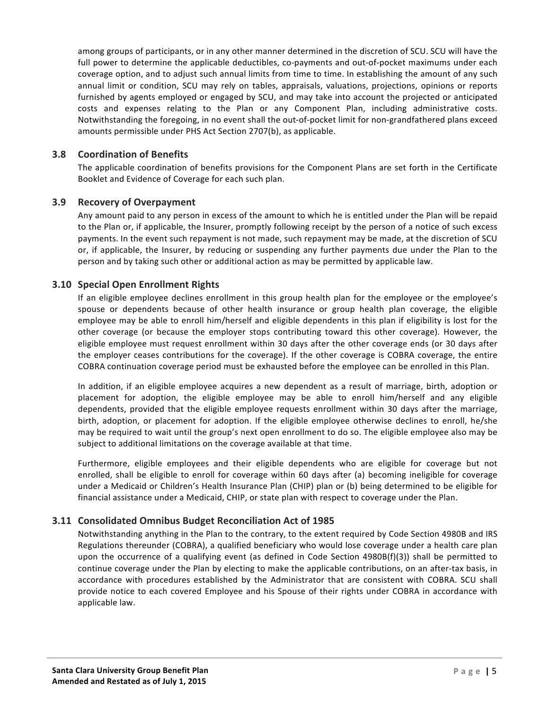among groups of participants, or in any other manner determined in the discretion of SCU. SCU will have the full power to determine the applicable deductibles, co-payments and out-of-pocket maximums under each coverage option, and to adjust such annual limits from time to time. In establishing the amount of any such annual limit or condition, SCU may rely on tables, appraisals, valuations, projections, opinions or reports furnished by agents employed or engaged by SCU, and may take into account the projected or anticipated costs and expenses relating to the Plan or any Component Plan, including administrative costs. Notwithstanding the foregoing, in no event shall the out-of-pocket limit for non-grandfathered plans exceed amounts permissible under PHS Act Section 2707(b), as applicable.

# **3.8 Coordination of Benefits**

The applicable coordination of benefits provisions for the Component Plans are set forth in the Certificate Booklet and Evidence of Coverage for each such plan.

# **3.9** Recovery of Overpayment

Any amount paid to any person in excess of the amount to which he is entitled under the Plan will be repaid to the Plan or, if applicable, the Insurer, promptly following receipt by the person of a notice of such excess payments. In the event such repayment is not made, such repayment may be made, at the discretion of SCU or, if applicable, the Insurer, by reducing or suspending any further payments due under the Plan to the person and by taking such other or additional action as may be permitted by applicable law.

# **3.10 Special Open Enrollment Rights**

If an eligible employee declines enrollment in this group health plan for the employee or the employee's spouse or dependents because of other health insurance or group health plan coverage, the eligible employee may be able to enroll him/herself and eligible dependents in this plan if eligibility is lost for the other coverage (or because the employer stops contributing toward this other coverage). However, the eligible employee must request enrollment within 30 days after the other coverage ends (or 30 days after the employer ceases contributions for the coverage). If the other coverage is COBRA coverage, the entire COBRA continuation coverage period must be exhausted before the employee can be enrolled in this Plan.

In addition, if an eligible employee acquires a new dependent as a result of marriage, birth, adoption or placement for adoption, the eligible employee may be able to enroll him/herself and any eligible dependents, provided that the eligible employee requests enrollment within 30 days after the marriage, birth, adoption, or placement for adoption. If the eligible employee otherwise declines to enroll, he/she may be required to wait until the group's next open enrollment to do so. The eligible employee also may be subject to additional limitations on the coverage available at that time.

Furthermore, eligible employees and their eligible dependents who are eligible for coverage but not enrolled, shall be eligible to enroll for coverage within 60 days after (a) becoming ineligible for coverage under a Medicaid or Children's Health Insurance Plan (CHIP) plan or (b) being determined to be eligible for financial assistance under a Medicaid, CHIP, or state plan with respect to coverage under the Plan.

# **3.11 Consolidated Omnibus Budget Reconciliation Act of 1985**

Notwithstanding anything in the Plan to the contrary, to the extent required by Code Section 4980B and IRS Regulations thereunder (COBRA), a qualified beneficiary who would lose coverage under a health care plan upon the occurrence of a qualifying event (as defined in Code Section  $4980B(f)(3)$ ) shall be permitted to continue coverage under the Plan by electing to make the applicable contributions, on an after-tax basis, in accordance with procedures established by the Administrator that are consistent with COBRA. SCU shall provide notice to each covered Employee and his Spouse of their rights under COBRA in accordance with applicable law.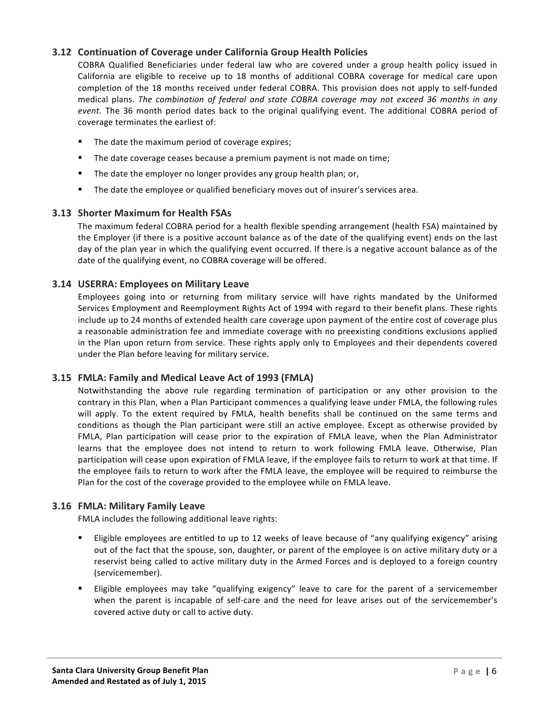# **3.12 Continuation of Coverage under California Group Health Policies**

COBRA Qualified Beneficiaries under federal law who are covered under a group health policy issued in California are eligible to receive up to 18 months of additional COBRA coverage for medical care upon completion of the 18 months received under federal COBRA. This provision does not apply to self-funded medical plans. The combination of federal and state COBRA coverage may not exceed 36 months in any *event.* The 36 month period dates back to the original qualifying event. The additional COBRA period of coverage terminates the earliest of:

- The date the maximum period of coverage expires;
- The date coverage ceases because a premium payment is not made on time;
- The date the employer no longer provides any group health plan; or,
- The date the employee or qualified beneficiary moves out of insurer's services area.

# **3.13 Shorter Maximum for Health FSAs**

The maximum federal COBRA period for a health flexible spending arrangement (health FSA) maintained by the Employer (if there is a positive account balance as of the date of the qualifying event) ends on the last day of the plan year in which the qualifying event occurred. If there is a negative account balance as of the date of the qualifying event, no COBRA coverage will be offered.

# **3.14 USERRA: Employees on Military Leave**

Employees going into or returning from military service will have rights mandated by the Uniformed Services Employment and Reemployment Rights Act of 1994 with regard to their benefit plans. These rights include up to 24 months of extended health care coverage upon payment of the entire cost of coverage plus a reasonable administration fee and immediate coverage with no preexisting conditions exclusions applied in the Plan upon return from service. These rights apply only to Employees and their dependents covered under the Plan before leaving for military service.

# **3.15 FMLA: Family and Medical Leave Act of 1993 (FMLA)**

Notwithstanding the above rule regarding termination of participation or any other provision to the contrary in this Plan, when a Plan Participant commences a qualifying leave under FMLA, the following rules will apply. To the extent required by FMLA, health benefits shall be continued on the same terms and conditions as though the Plan participant were still an active employee. Except as otherwise provided by FMLA, Plan participation will cease prior to the expiration of FMLA leave, when the Plan Administrator learns that the employee does not intend to return to work following FMLA leave. Otherwise, Plan participation will cease upon expiration of FMLA leave, if the employee fails to return to work at that time. If the employee fails to return to work after the FMLA leave, the employee will be required to reimburse the Plan for the cost of the coverage provided to the employee while on FMLA leave.

# **3.16 FMLA: Military Family Leave**

FMLA includes the following additional leave rights:

- Eligible employees are entitled to up to 12 weeks of leave because of "any qualifying exigency" arising out of the fact that the spouse, son, daughter, or parent of the employee is on active military duty or a reservist being called to active military duty in the Armed Forces and is deployed to a foreign country (servicemember).
- Eligible employees may take "qualifying exigency" leave to care for the parent of a servicemember when the parent is incapable of self-care and the need for leave arises out of the servicemember's covered active duty or call to active duty.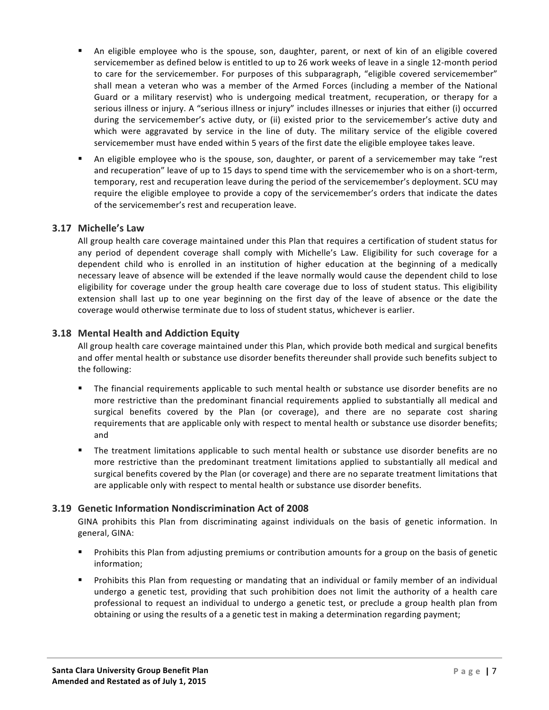- An eligible employee who is the spouse, son, daughter, parent, or next of kin of an eligible covered servicemember as defined below is entitled to up to 26 work weeks of leave in a single 12-month period to care for the servicemember. For purposes of this subparagraph, "eligible covered servicemember" shall mean a veteran who was a member of the Armed Forces (including a member of the National Guard or a military reservist) who is undergoing medical treatment, recuperation, or therapy for a serious illness or injury. A "serious illness or injury" includes illnesses or injuries that either (i) occurred during the servicemember's active duty, or (ii) existed prior to the servicemember's active duty and which were aggravated by service in the line of duty. The military service of the eligible covered servicemember must have ended within 5 years of the first date the eligible employee takes leave.
- An eligible employee who is the spouse, son, daughter, or parent of a servicemember may take "rest and recuperation" leave of up to 15 days to spend time with the servicemember who is on a short-term, temporary, rest and recuperation leave during the period of the servicemember's deployment. SCU may require the eligible employee to provide a copy of the servicemember's orders that indicate the dates of the servicemember's rest and recuperation leave.

# **3.17 Michelle's Law**

All group health care coverage maintained under this Plan that requires a certification of student status for any period of dependent coverage shall comply with Michelle's Law. Eligibility for such coverage for a dependent child who is enrolled in an institution of higher education at the beginning of a medically necessary leave of absence will be extended if the leave normally would cause the dependent child to lose eligibility for coverage under the group health care coverage due to loss of student status. This eligibility extension shall last up to one year beginning on the first day of the leave of absence or the date the coverage would otherwise terminate due to loss of student status, whichever is earlier.

# **3.18 Mental Health and Addiction Equity**

All group health care coverage maintained under this Plan, which provide both medical and surgical benefits and offer mental health or substance use disorder benefits thereunder shall provide such benefits subject to the following:

- The financial requirements applicable to such mental health or substance use disorder benefits are no more restrictive than the predominant financial requirements applied to substantially all medical and surgical benefits covered by the Plan (or coverage), and there are no separate cost sharing requirements that are applicable only with respect to mental health or substance use disorder benefits; and
- The treatment limitations applicable to such mental health or substance use disorder benefits are no more restrictive than the predominant treatment limitations applied to substantially all medical and surgical benefits covered by the Plan (or coverage) and there are no separate treatment limitations that are applicable only with respect to mental health or substance use disorder benefits.

# **3.19 Genetic Information Nondiscrimination Act of 2008**

GINA prohibits this Plan from discriminating against individuals on the basis of genetic information. In general, GINA:

- Prohibits this Plan from adjusting premiums or contribution amounts for a group on the basis of genetic information;
- Prohibits this Plan from requesting or mandating that an individual or family member of an individual undergo a genetic test, providing that such prohibition does not limit the authority of a health care professional to request an individual to undergo a genetic test, or preclude a group health plan from obtaining or using the results of a a genetic test in making a determination regarding payment;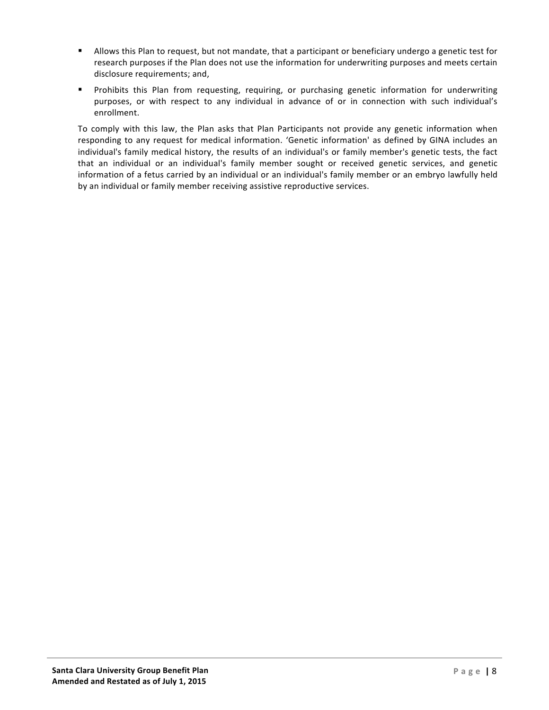- Allows this Plan to request, but not mandate, that a participant or beneficiary undergo a genetic test for research purposes if the Plan does not use the information for underwriting purposes and meets certain disclosure requirements; and,
- Prohibits this Plan from requesting, requiring, or purchasing genetic information for underwriting purposes, or with respect to any individual in advance of or in connection with such individual's enrollment.

To comply with this law, the Plan asks that Plan Participants not provide any genetic information when responding to any request for medical information. 'Genetic information' as defined by GINA includes an individual's family medical history, the results of an individual's or family member's genetic tests, the fact that an individual or an individual's family member sought or received genetic services, and genetic information of a fetus carried by an individual or an individual's family member or an embryo lawfully held by an individual or family member receiving assistive reproductive services.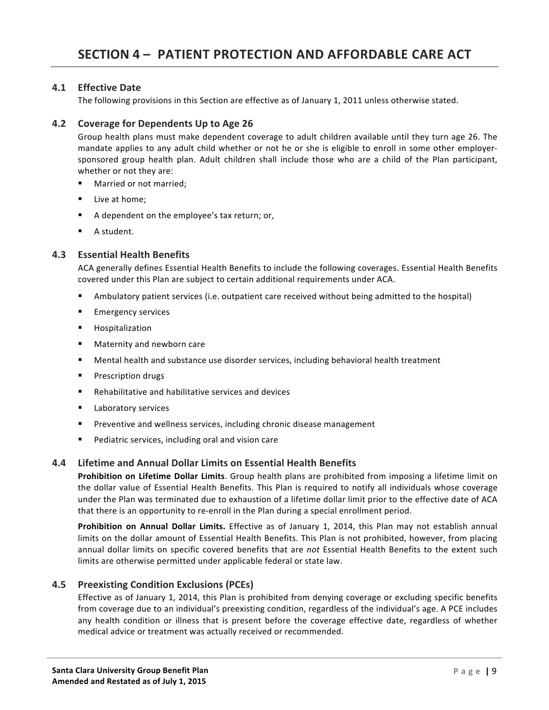# **4.1 Effective Date**

The following provisions in this Section are effective as of January 1, 2011 unless otherwise stated.

# **4.2** Coverage for Dependents Up to Age 26

Group health plans must make dependent coverage to adult children available until they turn age 26. The mandate applies to any adult child whether or not he or she is eligible to enroll in some other employersponsored group health plan. Adult children shall include those who are a child of the Plan participant, whether or not they are:

- Married or not married;
- Live at home:
- A dependent on the employee's tax return; or,
- A student.

# **4.3 Essential Health Benefits**

ACA generally defines Essential Health Benefits to include the following coverages. Essential Health Benefits covered under this Plan are subject to certain additional requirements under ACA.

- Ambulatory patient services (i.e. outpatient care received without being admitted to the hospital)
- Emergency services
- Hospitalization
- Maternity and newborn care
- Mental health and substance use disorder services, including behavioral health treatment
- Prescription drugs
- Rehabilitative and habilitative services and devices
- Laboratory services
- Preventive and wellness services, including chronic disease management
- Pediatric services, including oral and vision care

# **4.4 Lifetime and Annual Dollar Limits on Essential Health Benefits**

**Prohibition on Lifetime Dollar Limits**. Group health plans are prohibited from imposing a lifetime limit on the dollar value of Essential Health Benefits. This Plan is required to notify all individuals whose coverage under the Plan was terminated due to exhaustion of a lifetime dollar limit prior to the effective date of ACA that there is an opportunity to re-enroll in the Plan during a special enrollment period.

Prohibition on Annual Dollar Limits. Effective as of January 1, 2014, this Plan may not establish annual limits on the dollar amount of Essential Health Benefits. This Plan is not prohibited, however, from placing annual dollar limits on specific covered benefits that are *not* Essential Health Benefits to the extent such limits are otherwise permitted under applicable federal or state law.

# **4.5 Preexisting Condition Exclusions (PCEs)**

Effective as of January 1, 2014, this Plan is prohibited from denying coverage or excluding specific benefits from coverage due to an individual's preexisting condition, regardless of the individual's age. A PCE includes any health condition or illness that is present before the coverage effective date, regardless of whether medical advice or treatment was actually received or recommended.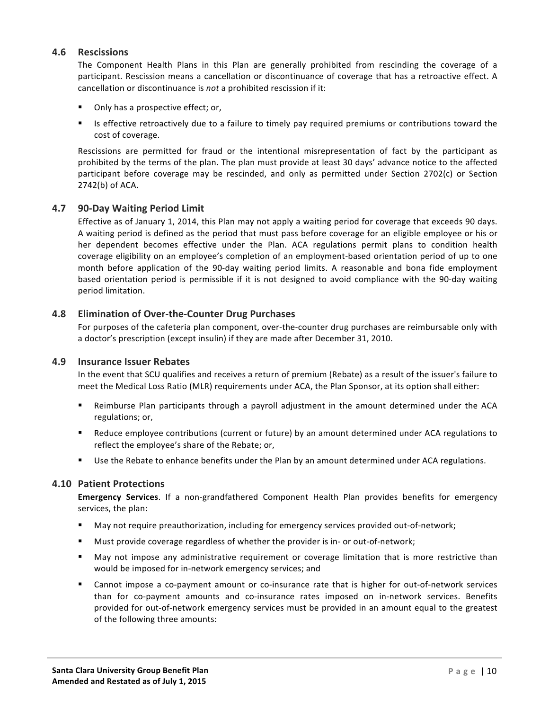#### **4.6 Rescissions**

The Component Health Plans in this Plan are generally prohibited from rescinding the coverage of a participant. Rescission means a cancellation or discontinuance of coverage that has a retroactive effect. A cancellation or discontinuance is *not* a prohibited rescission if it:

- Only has a prospective effect; or,
- Is effective retroactively due to a failure to timely pay required premiums or contributions toward the cost of coverage.

Rescissions are permitted for fraud or the intentional misrepresentation of fact by the participant as prohibited by the terms of the plan. The plan must provide at least 30 days' advance notice to the affected participant before coverage may be rescinded, and only as permitted under Section 2702(c) or Section  $2742(b)$  of ACA.

#### **4.7 90-Day Waiting Period Limit**

Effective as of January 1, 2014, this Plan may not apply a waiting period for coverage that exceeds 90 days. A waiting period is defined as the period that must pass before coverage for an eligible employee or his or her dependent becomes effective under the Plan. ACA regulations permit plans to condition health coverage eligibility on an employee's completion of an employment-based orientation period of up to one month before application of the 90-day waiting period limits. A reasonable and bona fide employment based orientation period is permissible if it is not designed to avoid compliance with the 90-day waiting period limitation.

#### **4.8 Elimination of Over-the-Counter Drug Purchases**

For purposes of the cafeteria plan component, over-the-counter drug purchases are reimbursable only with a doctor's prescription (except insulin) if they are made after December 31, 2010.

#### **4.9 Insurance Issuer Rebates**

In the event that SCU qualifies and receives a return of premium (Rebate) as a result of the issuer's failure to meet the Medical Loss Ratio (MLR) requirements under ACA, the Plan Sponsor, at its option shall either:

- Reimburse Plan participants through a payroll adjustment in the amount determined under the ACA regulations; or,
- Reduce employee contributions (current or future) by an amount determined under ACA regulations to reflect the employee's share of the Rebate; or,
- Use the Rebate to enhance benefits under the Plan by an amount determined under ACA regulations.

#### **4.10 Patient Protections**

**Emergency Services.** If a non-grandfathered Component Health Plan provides benefits for emergency services, the plan:

- May not require preauthorization, including for emergency services provided out-of-network;
- Must provide coverage regardless of whether the provider is in- or out-of-network;
- May not impose any administrative requirement or coverage limitation that is more restrictive than would be imposed for in-network emergency services; and
- Cannot impose a co-payment amount or co-insurance rate that is higher for out-of-network services than for co-payment amounts and co-insurance rates imposed on in-network services. Benefits provided for out-of-network emergency services must be provided in an amount equal to the greatest of the following three amounts: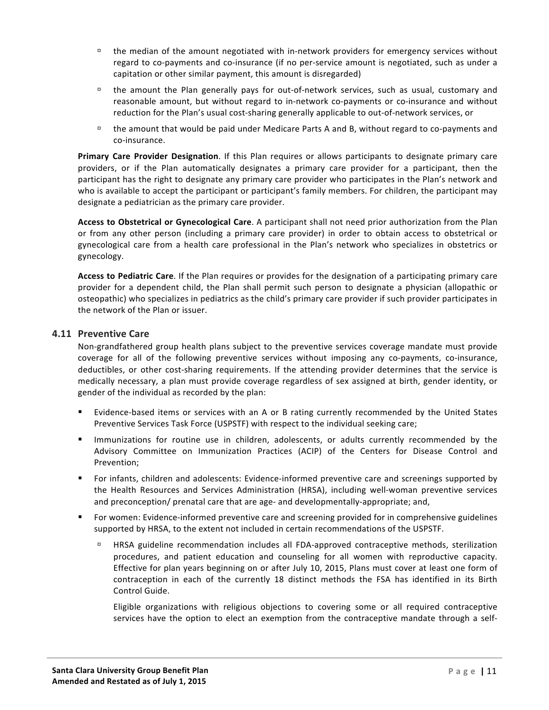- $\Box$  the median of the amount negotiated with in-network providers for emergency services without regard to co-payments and co-insurance (if no per-service amount is negotiated, such as under a capitation or other similar payment, this amount is disregarded)
- $\Box$  the amount the Plan generally pays for out-of-network services, such as usual, customary and reasonable amount, but without regard to in-network co-payments or co-insurance and without reduction for the Plan's usual cost-sharing generally applicable to out-of-network services, or
- $\Box$  the amount that would be paid under Medicare Parts A and B, without regard to co-payments and co-insurance.

**Primary Care Provider Designation**. If this Plan requires or allows participants to designate primary care providers, or if the Plan automatically designates a primary care provider for a participant, then the participant has the right to designate any primary care provider who participates in the Plan's network and who is available to accept the participant or participant's family members. For children, the participant may designate a pediatrician as the primary care provider.

Access to Obstetrical or Gynecological Care. A participant shall not need prior authorization from the Plan or from any other person (including a primary care provider) in order to obtain access to obstetrical or gynecological care from a health care professional in the Plan's network who specializes in obstetrics or gynecology. 

Access to Pediatric Care. If the Plan requires or provides for the designation of a participating primary care provider for a dependent child, the Plan shall permit such person to designate a physician (allopathic or osteopathic) who specializes in pediatrics as the child's primary care provider if such provider participates in the network of the Plan or issuer.

# **4.11 Preventive Care**

Non-grandfathered group health plans subject to the preventive services coverage mandate must provide coverage for all of the following preventive services without imposing any co-payments, co-insurance, deductibles, or other cost-sharing requirements. If the attending provider determines that the service is medically necessary, a plan must provide coverage regardless of sex assigned at birth, gender identity, or gender of the individual as recorded by the plan:

- Evidence-based items or services with an A or B rating currently recommended by the United States Preventive Services Task Force (USPSTF) with respect to the individual seeking care;
- Immunizations for routine use in children, adolescents, or adults currently recommended by the Advisory Committee on Immunization Practices (ACIP) of the Centers for Disease Control and Prevention;
- For infants, children and adolescents: Evidence-informed preventive care and screenings supported by the Health Resources and Services Administration (HRSA), including well-woman preventive services and preconception/ prenatal care that are age- and developmentally-appropriate; and,
- For women: Evidence-informed preventive care and screening provided for in comprehensive guidelines supported by HRSA, to the extent not included in certain recommendations of the USPSTF.
	- **EXECT ARE EXAM** EXAMPLE FECOMMENDATION INCLUDES all FDA-approved contraceptive methods, sterilization procedures, and patient education and counseling for all women with reproductive capacity. Effective for plan years beginning on or after July 10, 2015, Plans must cover at least one form of contraception in each of the currently 18 distinct methods the FSA has identified in its Birth Control Guide.

Eligible organizations with religious objections to covering some or all required contraceptive services have the option to elect an exemption from the contraceptive mandate through a self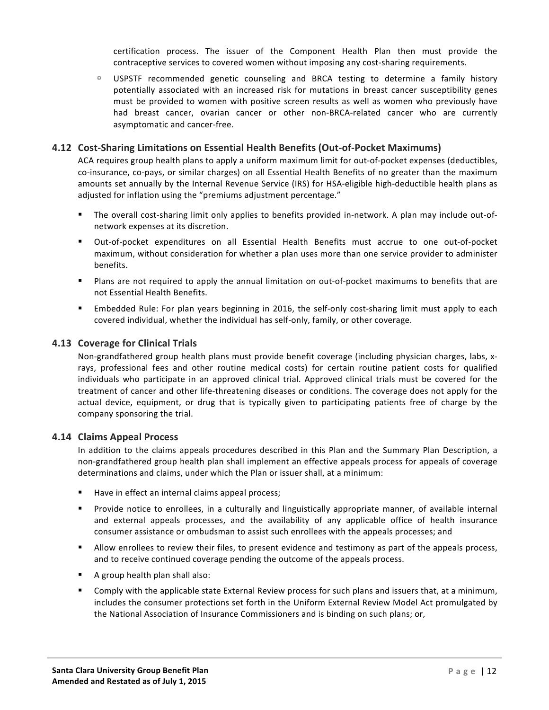certification process. The issuer of the Component Health Plan then must provide the contraceptive services to covered women without imposing any cost-sharing requirements.

□ USPSTF recommended genetic counseling and BRCA testing to determine a family history potentially associated with an increased risk for mutations in breast cancer susceptibility genes must be provided to women with positive screen results as well as women who previously have had breast cancer, ovarian cancer or other non-BRCA-related cancer who are currently asymptomatic and cancer-free.

# **4.12 Cost-Sharing Limitations on Essential Health Benefits (Out-of-Pocket Maximums)**

ACA requires group health plans to apply a uniform maximum limit for out-of-pocket expenses (deductibles, co-insurance, co-pays, or similar charges) on all Essential Health Benefits of no greater than the maximum amounts set annually by the Internal Revenue Service (IRS) for HSA-eligible high-deductible health plans as adjusted for inflation using the "premiums adjustment percentage."

- The overall cost-sharing limit only applies to benefits provided in-network. A plan may include out-ofnetwork expenses at its discretion.
- Out-of-pocket expenditures on all Essential Health Benefits must accrue to one out-of-pocket maximum, without consideration for whether a plan uses more than one service provider to administer benefits.
- Plans are not required to apply the annual limitation on out-of-pocket maximums to benefits that are not Essential Health Benefits.
- Embedded Rule: For plan years beginning in 2016, the self-only cost-sharing limit must apply to each covered individual, whether the individual has self-only, family, or other coverage.

#### **4.13 Coverage for Clinical Trials**

Non-grandfathered group health plans must provide benefit coverage (including physician charges, labs, xrays, professional fees and other routine medical costs) for certain routine patient costs for qualified individuals who participate in an approved clinical trial. Approved clinical trials must be covered for the treatment of cancer and other life-threatening diseases or conditions. The coverage does not apply for the actual device, equipment, or drug that is typically given to participating patients free of charge by the company sponsoring the trial.

#### **4.14 Claims Appeal Process**

In addition to the claims appeals procedures described in this Plan and the Summary Plan Description, a non-grandfathered group health plan shall implement an effective appeals process for appeals of coverage determinations and claims, under which the Plan or issuer shall, at a minimum:

- Have in effect an internal claims appeal process;
- Provide notice to enrollees, in a culturally and linguistically appropriate manner, of available internal and external appeals processes, and the availability of any applicable office of health insurance consumer assistance or ombudsman to assist such enrollees with the appeals processes; and
- Allow enrollees to review their files, to present evidence and testimony as part of the appeals process, and to receive continued coverage pending the outcome of the appeals process.
- $\blacksquare$  A group health plan shall also:
- Comply with the applicable state External Review process for such plans and issuers that, at a minimum, includes the consumer protections set forth in the Uniform External Review Model Act promulgated by the National Association of Insurance Commissioners and is binding on such plans; or,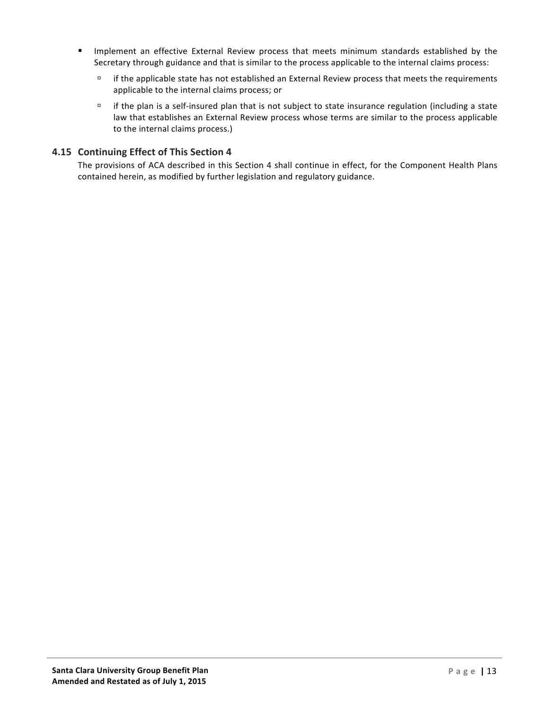- Implement an effective External Review process that meets minimum standards established by the Secretary through guidance and that is similar to the process applicable to the internal claims process:
	- $\Box$  if the applicable state has not established an External Review process that meets the requirements applicable to the internal claims process; or
	- $\Box$  if the plan is a self-insured plan that is not subject to state insurance regulation (including a state law that establishes an External Review process whose terms are similar to the process applicable to the internal claims process.)

# **4.15 Continuing Effect of This Section 4**

The provisions of ACA described in this Section 4 shall continue in effect, for the Component Health Plans contained herein, as modified by further legislation and regulatory guidance.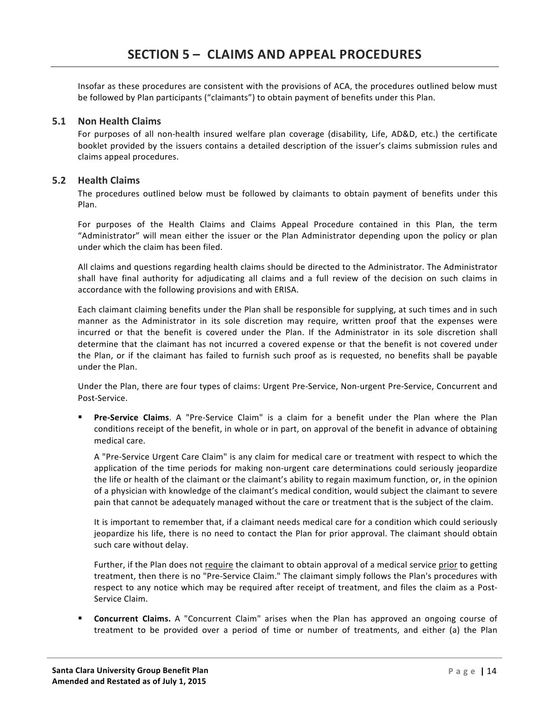Insofar as these procedures are consistent with the provisions of ACA, the procedures outlined below must be followed by Plan participants ("claimants") to obtain payment of benefits under this Plan.

# **5.1 Non Health Claims**

For purposes of all non-health insured welfare plan coverage (disability, Life, AD&D, etc.) the certificate booklet provided by the issuers contains a detailed description of the issuer's claims submission rules and claims appeal procedures.

# **5.2 Health Claims**

The procedures outlined below must be followed by claimants to obtain payment of benefits under this Plan.

For purposes of the Health Claims and Claims Appeal Procedure contained in this Plan, the term "Administrator" will mean either the issuer or the Plan Administrator depending upon the policy or plan under which the claim has been filed.

All claims and questions regarding health claims should be directed to the Administrator. The Administrator shall have final authority for adjudicating all claims and a full review of the decision on such claims in accordance with the following provisions and with ERISA.

Each claimant claiming benefits under the Plan shall be responsible for supplying, at such times and in such manner as the Administrator in its sole discretion may require, written proof that the expenses were incurred or that the benefit is covered under the Plan. If the Administrator in its sole discretion shall determine that the claimant has not incurred a covered expense or that the benefit is not covered under the Plan, or if the claimant has failed to furnish such proof as is requested, no benefits shall be payable under the Plan.

Under the Plan, there are four types of claims: Urgent Pre-Service, Non-urgent Pre-Service, Concurrent and Post-Service. 

**Pre-Service Claims**. A "Pre-Service Claim" is a claim for a benefit under the Plan where the Plan conditions receipt of the benefit, in whole or in part, on approval of the benefit in advance of obtaining medical care.

A "Pre-Service Urgent Care Claim" is any claim for medical care or treatment with respect to which the application of the time periods for making non-urgent care determinations could seriously jeopardize the life or health of the claimant or the claimant's ability to regain maximum function, or, in the opinion of a physician with knowledge of the claimant's medical condition, would subject the claimant to severe pain that cannot be adequately managed without the care or treatment that is the subject of the claim.

It is important to remember that, if a claimant needs medical care for a condition which could seriously jeopardize his life, there is no need to contact the Plan for prior approval. The claimant should obtain such care without delay.

Further, if the Plan does not require the claimant to obtain approval of a medical service prior to getting treatment, then there is no "Pre-Service Claim." The claimant simply follows the Plan's procedures with respect to any notice which may be required after receipt of treatment, and files the claim as a Post-Service Claim.

**Concurrent Claims.** A "Concurrent Claim" arises when the Plan has approved an ongoing course of treatment to be provided over a period of time or number of treatments, and either (a) the Plan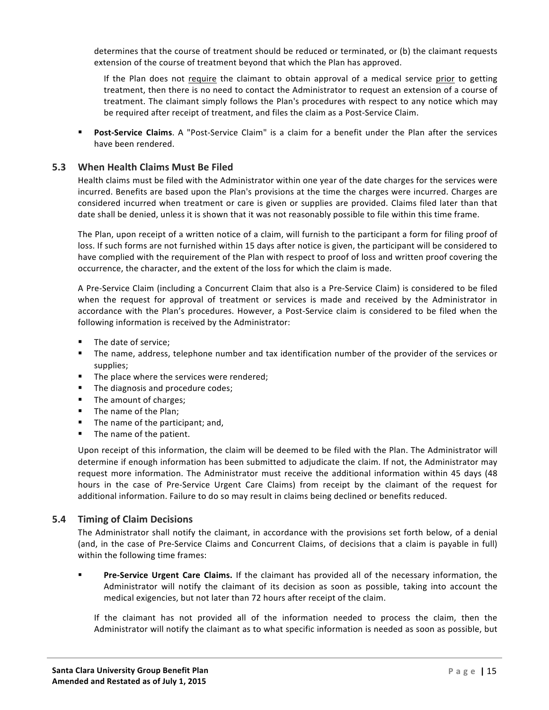determines that the course of treatment should be reduced or terminated, or (b) the claimant requests extension of the course of treatment beyond that which the Plan has approved.

If the Plan does not require the claimant to obtain approval of a medical service prior to getting treatment, then there is no need to contact the Administrator to request an extension of a course of treatment. The claimant simply follows the Plan's procedures with respect to any notice which may be required after receipt of treatment, and files the claim as a Post-Service Claim.

**• Post-Service Claims**. A "Post-Service Claim" is a claim for a benefit under the Plan after the services have been rendered.

# **5.3 When Health Claims Must Be Filed**

Health claims must be filed with the Administrator within one year of the date charges for the services were incurred. Benefits are based upon the Plan's provisions at the time the charges were incurred. Charges are considered incurred when treatment or care is given or supplies are provided. Claims filed later than that date shall be denied, unless it is shown that it was not reasonably possible to file within this time frame.

The Plan, upon receipt of a written notice of a claim, will furnish to the participant a form for filing proof of loss. If such forms are not furnished within 15 days after notice is given, the participant will be considered to have complied with the requirement of the Plan with respect to proof of loss and written proof covering the occurrence, the character, and the extent of the loss for which the claim is made.

A Pre-Service Claim (including a Concurrent Claim that also is a Pre-Service Claim) is considered to be filed when the request for approval of treatment or services is made and received by the Administrator in accordance with the Plan's procedures. However, a Post-Service claim is considered to be filed when the following information is received by the Administrator:

- The date of service;
- The name, address, telephone number and tax identification number of the provider of the services or supplies;
- The place where the services were rendered;
- The diagnosis and procedure codes;
- The amount of charges;
- The name of the Plan;
- The name of the participant; and,
- The name of the patient.

Upon receipt of this information, the claim will be deemed to be filed with the Plan. The Administrator will determine if enough information has been submitted to adjudicate the claim. If not, the Administrator may request more information. The Administrator must receive the additional information within 45 days (48 hours in the case of Pre-Service Urgent Care Claims) from receipt by the claimant of the request for additional information. Failure to do so may result in claims being declined or benefits reduced.

#### **5.4 Timing of Claim Decisions**

The Administrator shall notify the claimant, in accordance with the provisions set forth below, of a denial (and, in the case of Pre-Service Claims and Concurrent Claims, of decisions that a claim is payable in full) within the following time frames:

**Pre-Service Urgent Care Claims.** If the claimant has provided all of the necessary information, the Administrator will notify the claimant of its decision as soon as possible, taking into account the medical exigencies, but not later than 72 hours after receipt of the claim.

If the claimant has not provided all of the information needed to process the claim, then the Administrator will notify the claimant as to what specific information is needed as soon as possible, but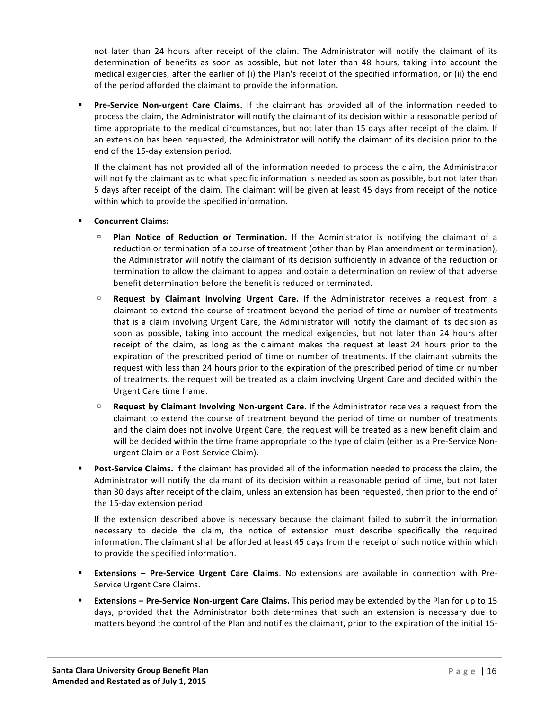not later than 24 hours after receipt of the claim. The Administrator will notify the claimant of its determination of benefits as soon as possible, but not later than 48 hours, taking into account the medical exigencies, after the earlier of (i) the Plan's receipt of the specified information, or (ii) the end of the period afforded the claimant to provide the information.

**Pre-Service Non-urgent Care Claims.** If the claimant has provided all of the information needed to process the claim, the Administrator will notify the claimant of its decision within a reasonable period of time appropriate to the medical circumstances, but not later than 15 days after receipt of the claim. If an extension has been requested, the Administrator will notify the claimant of its decision prior to the end of the 15-day extension period.

If the claimant has not provided all of the information needed to process the claim, the Administrator will notify the claimant as to what specific information is needed as soon as possible, but not later than 5 days after receipt of the claim. The claimant will be given at least 45 days from receipt of the notice within which to provide the specified information.

#### § **Concurrent Claims:**

- **Plan Notice of Reduction or Termination.** If the Administrator is notifying the claimant of a reduction or termination of a course of treatment (other than by Plan amendment or termination), the Administrator will notify the claimant of its decision sufficiently in advance of the reduction or termination to allow the claimant to appeal and obtain a determination on review of that adverse benefit determination before the benefit is reduced or terminated.
- **Request by Claimant Involving Urgent Care.** If the Administrator receives a request from a claimant to extend the course of treatment beyond the period of time or number of treatments that is a claim involving Urgent Care, the Administrator will notify the claimant of its decision as soon as possible, taking into account the medical exigencies, but not later than 24 hours after receipt of the claim, as long as the claimant makes the request at least 24 hours prior to the expiration of the prescribed period of time or number of treatments. If the claimant submits the request with less than 24 hours prior to the expiration of the prescribed period of time or number of treatments, the request will be treated as a claim involving Urgent Care and decided within the Urgent Care time frame.
- **Request by Claimant Involving Non-urgent Care**. If the Administrator receives a request from the claimant to extend the course of treatment beyond the period of time or number of treatments and the claim does not involve Urgent Care, the request will be treated as a new benefit claim and will be decided within the time frame appropriate to the type of claim (either as a Pre-Service Nonurgent Claim or a Post-Service Claim).
- Post-Service Claims. If the claimant has provided all of the information needed to process the claim, the Administrator will notify the claimant of its decision within a reasonable period of time, but not later than 30 days after receipt of the claim, unless an extension has been requested, then prior to the end of the 15-day extension period.

If the extension described above is necessary because the claimant failed to submit the information necessary to decide the claim, the notice of extension must describe specifically the required information. The claimant shall be afforded at least 45 days from the receipt of such notice within which to provide the specified information.

- **Extensions Pre-Service Urgent Care Claims**. No extensions are available in connection with Pre-Service Urgent Care Claims.
- **Extensions** Pre-Service Non-urgent Care Claims. This period may be extended by the Plan for up to 15 days, provided that the Administrator both determines that such an extension is necessary due to matters beyond the control of the Plan and notifies the claimant, prior to the expiration of the initial 15-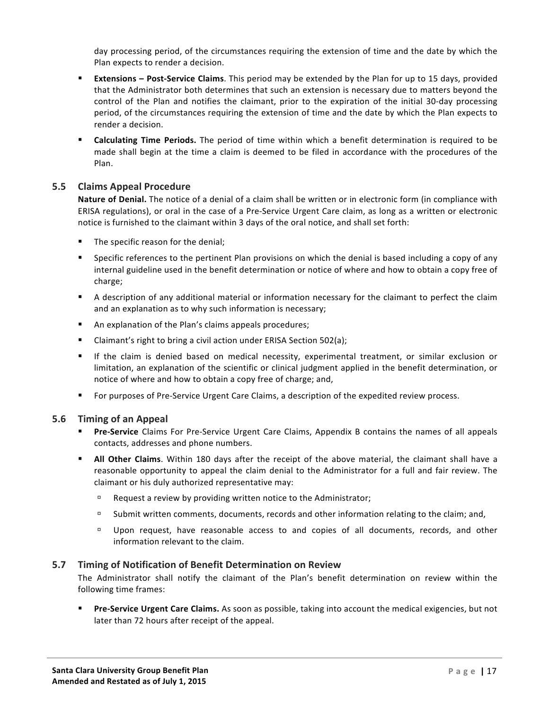day processing period, of the circumstances requiring the extension of time and the date by which the Plan expects to render a decision.

- **Extensions Post-Service Claims**. This period may be extended by the Plan for up to 15 days, provided that the Administrator both determines that such an extension is necessary due to matters beyond the control of the Plan and notifies the claimant, prior to the expiration of the initial 30-day processing period, of the circumstances requiring the extension of time and the date by which the Plan expects to render a decision.
- **Calculating Time Periods.** The period of time within which a benefit determination is required to be made shall begin at the time a claim is deemed to be filed in accordance with the procedures of the Plan.

# **5.5 Claims Appeal Procedure**

**Nature of Denial.** The notice of a denial of a claim shall be written or in electronic form (in compliance with ERISA regulations), or oral in the case of a Pre-Service Urgent Care claim, as long as a written or electronic notice is furnished to the claimant within 3 days of the oral notice, and shall set forth:

- The specific reason for the denial;
- Specific references to the pertinent Plan provisions on which the denial is based including a copy of any internal guideline used in the benefit determination or notice of where and how to obtain a copy free of charge;
- A description of any additional material or information necessary for the claimant to perfect the claim and an explanation as to why such information is necessary;
- An explanation of the Plan's claims appeals procedures;
- Claimant's right to bring a civil action under ERISA Section 502(a);
- If the claim is denied based on medical necessity, experimental treatment, or similar exclusion or limitation, an explanation of the scientific or clinical judgment applied in the benefit determination, or notice of where and how to obtain a copy free of charge; and,
- For purposes of Pre-Service Urgent Care Claims, a description of the expedited review process.

#### **5.6 Timing of an Appeal**

- **Pre-Service** Claims For Pre-Service Urgent Care Claims, Appendix B contains the names of all appeals contacts, addresses and phone numbers.
- **E** All Other Claims. Within 180 days after the receipt of the above material, the claimant shall have a reasonable opportunity to appeal the claim denial to the Administrator for a full and fair review. The claimant or his duly authorized representative may:
	- $E =$ Request a review by providing written notice to the Administrator;
	- <sup>n</sup> Submit written comments, documents, records and other information relating to the claim; and,
	- □ Upon request, have reasonable access to and copies of all documents, records, and other information relevant to the claim.

#### **5.7 Timing of Notification of Benefit Determination on Review**

The Administrator shall notify the claimant of the Plan's benefit determination on review within the following time frames:

**Pre-Service Urgent Care Claims.** As soon as possible, taking into account the medical exigencies, but not later than 72 hours after receipt of the appeal.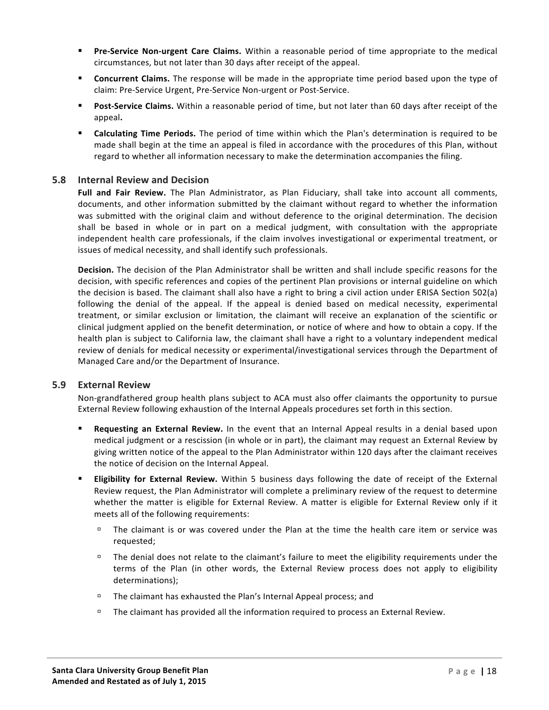- **Pre-Service Non-urgent Care Claims.** Within a reasonable period of time appropriate to the medical circumstances, but not later than 30 days after receipt of the appeal.
- **Concurrent Claims.** The response will be made in the appropriate time period based upon the type of claim: Pre-Service Urgent, Pre-Service Non-urgent or Post-Service.
- **Post-Service Claims.** Within a reasonable period of time, but not later than 60 days after receipt of the appeal**.**
- **E Calculating Time Periods.** The period of time within which the Plan's determination is required to be made shall begin at the time an appeal is filed in accordance with the procedures of this Plan, without regard to whether all information necessary to make the determination accompanies the filing.

#### **5.8 Internal Review and Decision**

Full and Fair Review. The Plan Administrator, as Plan Fiduciary, shall take into account all comments, documents, and other information submitted by the claimant without regard to whether the information was submitted with the original claim and without deference to the original determination. The decision shall be based in whole or in part on a medical judgment, with consultation with the appropriate independent health care professionals, if the claim involves investigational or experimental treatment, or issues of medical necessity, and shall identify such professionals.

**Decision.** The decision of the Plan Administrator shall be written and shall include specific reasons for the decision, with specific references and copies of the pertinent Plan provisions or internal guideline on which the decision is based. The claimant shall also have a right to bring a civil action under ERISA Section 502(a) following the denial of the appeal. If the appeal is denied based on medical necessity, experimental treatment, or similar exclusion or limitation, the claimant will receive an explanation of the scientific or clinical judgment applied on the benefit determination, or notice of where and how to obtain a copy. If the health plan is subject to California law, the claimant shall have a right to a voluntary independent medical review of denials for medical necessity or experimental/investigational services through the Department of Managed Care and/or the Department of Insurance.

#### **5.9 External Review**

Non-grandfathered group health plans subject to ACA must also offer claimants the opportunity to pursue External Review following exhaustion of the Internal Appeals procedures set forth in this section.

- **Requesting an External Review.** In the event that an Internal Appeal results in a denial based upon medical judgment or a rescission (in whole or in part), the claimant may request an External Review by giving written notice of the appeal to the Plan Administrator within 120 days after the claimant receives the notice of decision on the Internal Appeal.
- **Eligibility for External Review.** Within 5 business days following the date of receipt of the External Review request, the Plan Administrator will complete a preliminary review of the request to determine whether the matter is eligible for External Review. A matter is eligible for External Review only if it meets all of the following requirements:
	- $\overline{a}$  The claimant is or was covered under the Plan at the time the health care item or service was requested;
	- $\Box$  The denial does not relate to the claimant's failure to meet the eligibility requirements under the terms of the Plan (in other words, the External Review process does not apply to eligibility determinations);
	- $\Box$  The claimant has exhausted the Plan's Internal Appeal process; and
	- $\Box$  The claimant has provided all the information required to process an External Review.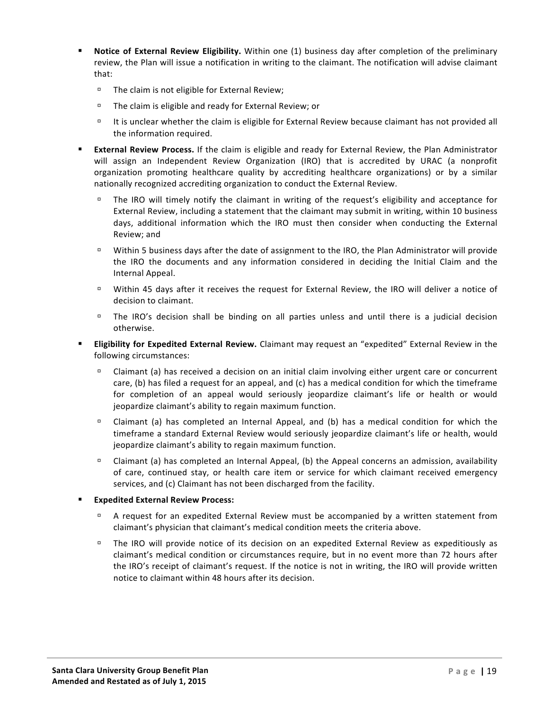- **Notice of External Review Eligibility.** Within one (1) business day after completion of the preliminary review, the Plan will issue a notification in writing to the claimant. The notification will advise claimant that:
	- $\Box$  The claim is not eligible for External Review;
	- $\Box$  The claim is eligible and ready for External Review; or
	- □ It is unclear whether the claim is eligible for External Review because claimant has not provided all the information required.
- **External Review Process.** If the claim is eligible and ready for External Review, the Plan Administrator will assign an Independent Review Organization (IRO) that is accredited by URAC (a nonprofit organization promoting healthcare quality by accrediting healthcare organizations) or by a similar nationally recognized accrediting organization to conduct the External Review.
	- $\Box$  The IRO will timely notify the claimant in writing of the request's eligibility and acceptance for External Review, including a statement that the claimant may submit in writing, within 10 business days, additional information which the IRO must then consider when conducting the External Review: and
	- □ Within 5 business days after the date of assignment to the IRO, the Plan Administrator will provide the IRO the documents and any information considered in deciding the Initial Claim and the Internal Appeal.
	- $\Box$  Within 45 days after it receives the request for External Review, the IRO will deliver a notice of decision to claimant.
	- $\Box$  The IRO's decision shall be binding on all parties unless and until there is a judicial decision otherwise.
- **Eligibility for Expedited External Review.** Claimant may request an "expedited" External Review in the following circumstances:
	- $\Box$  Claimant (a) has received a decision on an initial claim involving either urgent care or concurrent care, (b) has filed a request for an appeal, and (c) has a medical condition for which the timeframe for completion of an appeal would seriously jeopardize claimant's life or health or would jeopardize claimant's ability to regain maximum function.
	- $\Box$  Claimant (a) has completed an Internal Appeal, and (b) has a medical condition for which the timeframe a standard External Review would seriously jeopardize claimant's life or health, would jeopardize claimant's ability to regain maximum function.
	- $\Box$  Claimant (a) has completed an Internal Appeal, (b) the Appeal concerns an admission, availability of care, continued stay, or health care item or service for which claimant received emergency services, and (c) Claimant has not been discharged from the facility.
- § **Expedited External Review Process:**
	- A request for an expedited External Review must be accompanied by a written statement from claimant's physician that claimant's medical condition meets the criteria above.
	- <sup>n</sup> The IRO will provide notice of its decision on an expedited External Review as expeditiously as claimant's medical condition or circumstances require, but in no event more than 72 hours after the IRO's receipt of claimant's request. If the notice is not in writing, the IRO will provide written notice to claimant within 48 hours after its decision.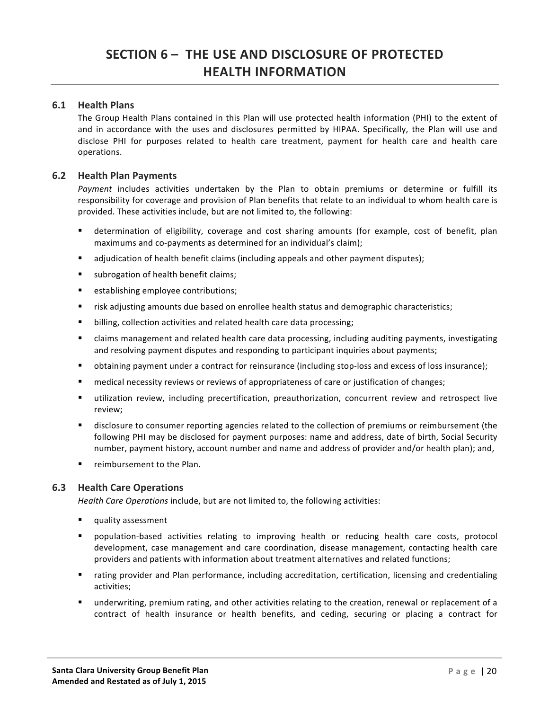# **SECTION 6 – THE USE AND DISCLOSURE OF PROTECTED HEALTH INFORMATION**

# **6.1 Health Plans**

The Group Health Plans contained in this Plan will use protected health information (PHI) to the extent of and in accordance with the uses and disclosures permitted by HIPAA. Specifically, the Plan will use and disclose PHI for purposes related to health care treatment, payment for health care and health care operations.

# **6.2 Health Plan Payments**

Payment includes activities undertaken by the Plan to obtain premiums or determine or fulfill its responsibility for coverage and provision of Plan benefits that relate to an individual to whom health care is provided. These activities include, but are not limited to, the following:

- determination of eligibility, coverage and cost sharing amounts (for example, cost of benefit, plan maximums and co-payments as determined for an individual's claim);
- adjudication of health benefit claims (including appeals and other payment disputes);
- subrogation of health benefit claims;
- establishing employee contributions;
- risk adjusting amounts due based on enrollee health status and demographic characteristics;
- billing, collection activities and related health care data processing;
- claims management and related health care data processing, including auditing payments, investigating and resolving payment disputes and responding to participant inquiries about payments;
- obtaining payment under a contract for reinsurance (including stop-loss and excess of loss insurance);
- medical necessity reviews or reviews of appropriateness of care or justification of changes;
- utilization review, including precertification, preauthorization, concurrent review and retrospect live review;
- disclosure to consumer reporting agencies related to the collection of premiums or reimbursement (the following PHI may be disclosed for payment purposes: name and address, date of birth, Social Security number, payment history, account number and name and address of provider and/or health plan); and,
- reimbursement to the Plan.

#### **6.3 Health Care Operations**

*Health Care Operations* include, but are not limited to, the following activities:

- quality assessment
- population-based activities relating to improving health or reducing health care costs, protocol development, case management and care coordination, disease management, contacting health care providers and patients with information about treatment alternatives and related functions;
- rating provider and Plan performance, including accreditation, certification, licensing and credentialing activities;
- underwriting, premium rating, and other activities relating to the creation, renewal or replacement of a contract of health insurance or health benefits, and ceding, securing or placing a contract for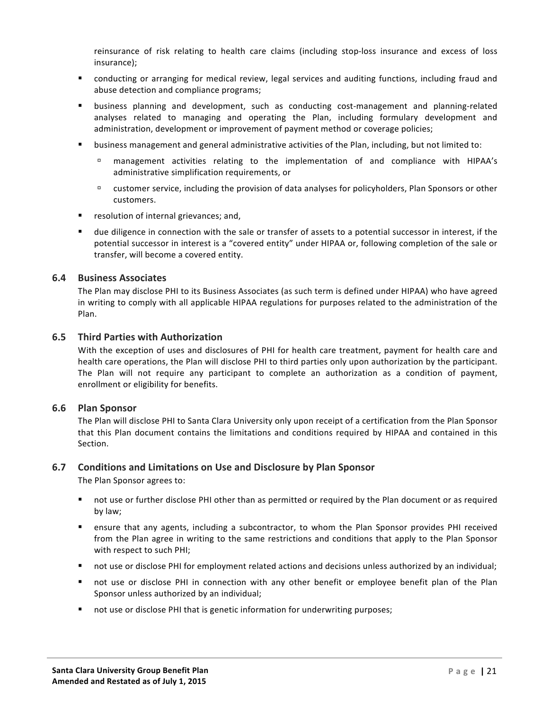reinsurance of risk relating to health care claims (including stop-loss insurance and excess of loss insurance);

- conducting or arranging for medical review, legal services and auditing functions, including fraud and abuse detection and compliance programs;
- business planning and development, such as conducting cost-management and planning-related analyses related to managing and operating the Plan, including formulary development and administration, development or improvement of payment method or coverage policies;
- business management and general administrative activities of the Plan, including, but not limited to:
	- <sup>n</sup> management activities relating to the implementation of and compliance with HIPAA's administrative simplification requirements, or
	- $\Box$  customer service, including the provision of data analyses for policyholders, Plan Sponsors or other customers.
- resolution of internal grievances; and,
- due diligence in connection with the sale or transfer of assets to a potential successor in interest, if the potential successor in interest is a "covered entity" under HIPAA or, following completion of the sale or transfer, will become a covered entity.

#### **6.4 Business Associates**

The Plan may disclose PHI to its Business Associates (as such term is defined under HIPAA) who have agreed in writing to comply with all applicable HIPAA regulations for purposes related to the administration of the Plan.

#### **6.5 Third Parties with Authorization**

With the exception of uses and disclosures of PHI for health care treatment, payment for health care and health care operations, the Plan will disclose PHI to third parties only upon authorization by the participant. The Plan will not require any participant to complete an authorization as a condition of payment, enrollment or eligibility for benefits.

#### **6.6 Plan Sponsor**

The Plan will disclose PHI to Santa Clara University only upon receipt of a certification from the Plan Sponsor that this Plan document contains the limitations and conditions required by HIPAA and contained in this Section.

#### **6.7 Conditions and Limitations on Use and Disclosure by Plan Sponsor**

The Plan Sponsor agrees to:

- not use or further disclose PHI other than as permitted or required by the Plan document or as required by law;
- ensure that any agents, including a subcontractor, to whom the Plan Sponsor provides PHI received from the Plan agree in writing to the same restrictions and conditions that apply to the Plan Sponsor with respect to such PHI;
- not use or disclose PHI for employment related actions and decisions unless authorized by an individual;
- not use or disclose PHI in connection with any other benefit or employee benefit plan of the Plan Sponsor unless authorized by an individual;
- not use or disclose PHI that is genetic information for underwriting purposes;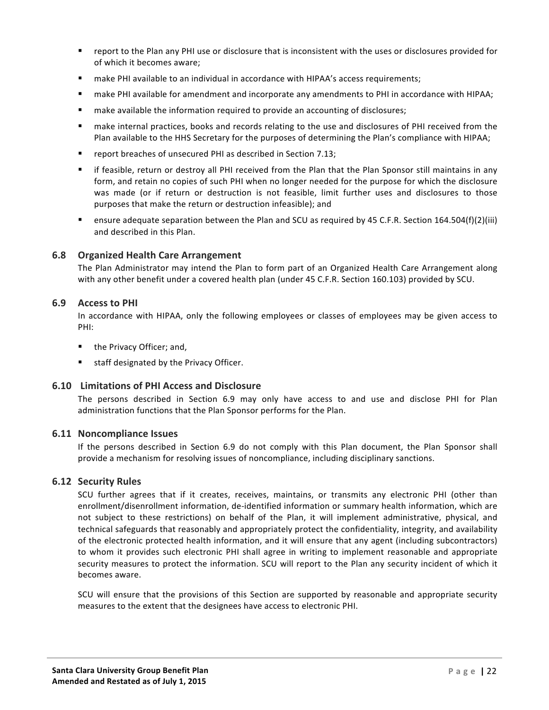- report to the Plan any PHI use or disclosure that is inconsistent with the uses or disclosures provided for of which it becomes aware:
- **■** make PHI available to an individual in accordance with HIPAA's access requirements;
- make PHI available for amendment and incorporate any amendments to PHI in accordance with HIPAA;
- make available the information required to provide an accounting of disclosures;
- make internal practices, books and records relating to the use and disclosures of PHI received from the Plan available to the HHS Secretary for the purposes of determining the Plan's compliance with HIPAA;
- **•** report breaches of unsecured PHI as described in Section 7.13;
- if feasible, return or destroy all PHI received from the Plan that the Plan Sponsor still maintains in any form, and retain no copies of such PHI when no longer needed for the purpose for which the disclosure was made (or if return or destruction is not feasible, limit further uses and disclosures to those purposes that make the return or destruction infeasible); and
- **E** ensure adequate separation between the Plan and SCU as required by 45 C.F.R. Section 164.504(f)(2)(iii) and described in this Plan.

#### **6.8 Organized Health Care Arrangement**

The Plan Administrator may intend the Plan to form part of an Organized Health Care Arrangement along with any other benefit under a covered health plan (under 45 C.F.R. Section 160.103) provided by SCU.

#### **6.9 Access to PHI**

In accordance with HIPAA, only the following employees or classes of employees may be given access to PHI:

- the Privacy Officer; and,
- staff designated by the Privacy Officer.

#### **6.10 Limitations of PHI Access and Disclosure**

The persons described in Section 6.9 may only have access to and use and disclose PHI for Plan administration functions that the Plan Sponsor performs for the Plan.

#### **6.11 Noncompliance Issues**

If the persons described in Section 6.9 do not comply with this Plan document, the Plan Sponsor shall provide a mechanism for resolving issues of noncompliance, including disciplinary sanctions.

#### **6.12 Security Rules**

SCU further agrees that if it creates, receives, maintains, or transmits any electronic PHI (other than enrollment/disenrollment information, de-identified information or summary health information, which are not subject to these restrictions) on behalf of the Plan, it will implement administrative, physical, and technical safeguards that reasonably and appropriately protect the confidentiality, integrity, and availability of the electronic protected health information, and it will ensure that any agent (including subcontractors) to whom it provides such electronic PHI shall agree in writing to implement reasonable and appropriate security measures to protect the information. SCU will report to the Plan any security incident of which it becomes aware.

SCU will ensure that the provisions of this Section are supported by reasonable and appropriate security measures to the extent that the designees have access to electronic PHI.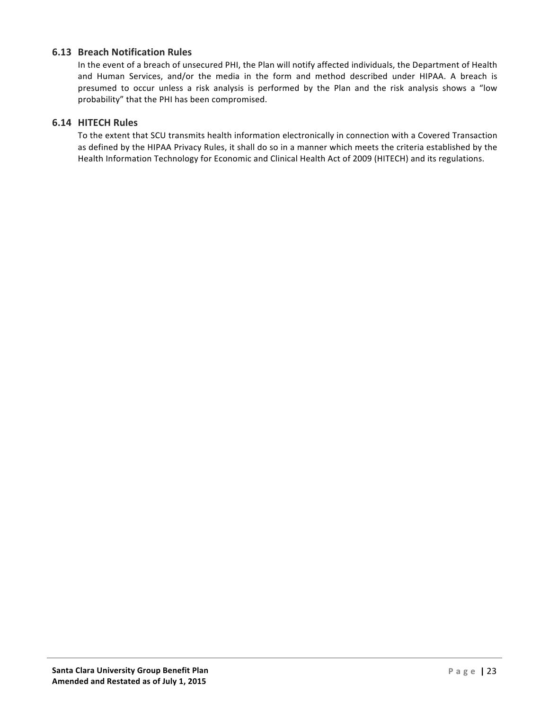# **6.13 Breach Notification Rules**

In the event of a breach of unsecured PHI, the Plan will notify affected individuals, the Department of Health and Human Services, and/or the media in the form and method described under HIPAA. A breach is presumed to occur unless a risk analysis is performed by the Plan and the risk analysis shows a "low probability" that the PHI has been compromised.

#### **6.14 HITECH Rules**

To the extent that SCU transmits health information electronically in connection with a Covered Transaction as defined by the HIPAA Privacy Rules, it shall do so in a manner which meets the criteria established by the Health Information Technology for Economic and Clinical Health Act of 2009 (HITECH) and its regulations.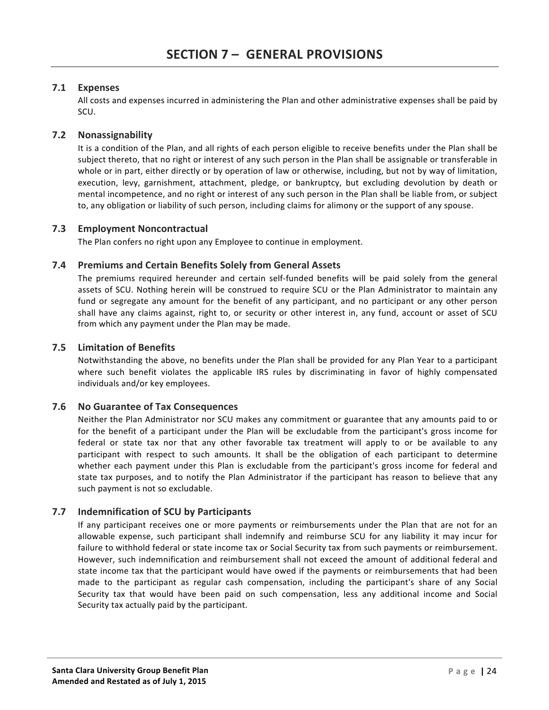# **7.1 Expenses**

All costs and expenses incurred in administering the Plan and other administrative expenses shall be paid by SCU. 

# **7.2 Nonassignability**

It is a condition of the Plan, and all rights of each person eligible to receive benefits under the Plan shall be subject thereto, that no right or interest of any such person in the Plan shall be assignable or transferable in whole or in part, either directly or by operation of law or otherwise, including, but not by way of limitation, execution, levy, garnishment, attachment, pledge, or bankruptcy, but excluding devolution by death or mental incompetence, and no right or interest of any such person in the Plan shall be liable from, or subject to, any obligation or liability of such person, including claims for alimony or the support of any spouse.

#### **7.3 Employment Noncontractual**

The Plan confers no right upon any Employee to continue in employment.

# **7.4 Premiums and Certain Benefits Solely from General Assets**

The premiums required hereunder and certain self-funded benefits will be paid solely from the general assets of SCU. Nothing herein will be construed to require SCU or the Plan Administrator to maintain any fund or segregate any amount for the benefit of any participant, and no participant or any other person shall have any claims against, right to, or security or other interest in, any fund, account or asset of SCU from which any payment under the Plan may be made.

# **7.5 Limitation of Benefits**

Notwithstanding the above, no benefits under the Plan shall be provided for any Plan Year to a participant where such benefit violates the applicable IRS rules by discriminating in favor of highly compensated individuals and/or key employees.

# **7.6 No Guarantee of Tax Consequences**

Neither the Plan Administrator nor SCU makes any commitment or guarantee that any amounts paid to or for the benefit of a participant under the Plan will be excludable from the participant's gross income for federal or state tax nor that any other favorable tax treatment will apply to or be available to any participant with respect to such amounts. It shall be the obligation of each participant to determine whether each payment under this Plan is excludable from the participant's gross income for federal and state tax purposes, and to notify the Plan Administrator if the participant has reason to believe that any such payment is not so excludable.

# **7.7 Indemnification of SCU by Participants**

If any participant receives one or more payments or reimbursements under the Plan that are not for an allowable expense, such participant shall indemnify and reimburse SCU for any liability it may incur for failure to withhold federal or state income tax or Social Security tax from such payments or reimbursement. However, such indemnification and reimbursement shall not exceed the amount of additional federal and state income tax that the participant would have owed if the payments or reimbursements that had been made to the participant as regular cash compensation, including the participant's share of any Social Security tax that would have been paid on such compensation, less any additional income and Social Security tax actually paid by the participant.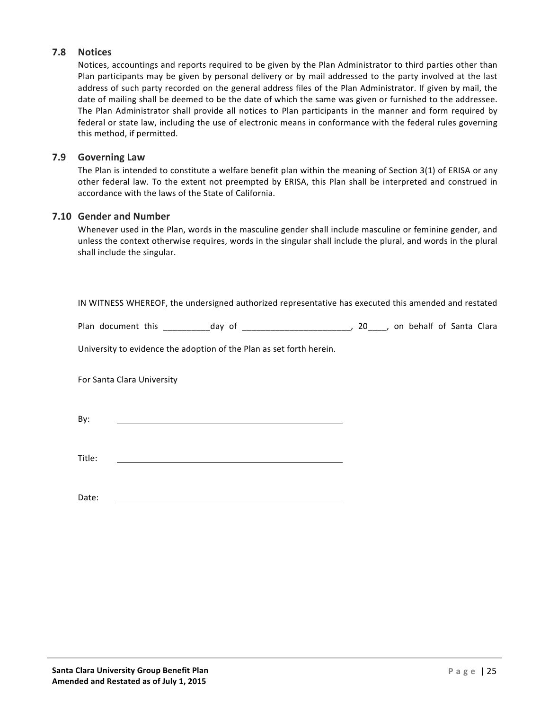# **7.8 Notices**

Notices, accountings and reports required to be given by the Plan Administrator to third parties other than Plan participants may be given by personal delivery or by mail addressed to the party involved at the last address of such party recorded on the general address files of the Plan Administrator. If given by mail, the date of mailing shall be deemed to be the date of which the same was given or furnished to the addressee. The Plan Administrator shall provide all notices to Plan participants in the manner and form required by federal or state law, including the use of electronic means in conformance with the federal rules governing this method, if permitted.

### **7.9 Governing Law**

The Plan is intended to constitute a welfare benefit plan within the meaning of Section  $3(1)$  of ERISA or any other federal law. To the extent not preempted by ERISA, this Plan shall be interpreted and construed in accordance with the laws of the State of California.

# **7.10 Gender and Number**

Whenever used in the Plan, words in the masculine gender shall include masculine or feminine gender, and unless the context otherwise requires, words in the singular shall include the plural, and words in the plural shall include the singular.

IN WITNESS WHEREOF, the undersigned authorized representative has executed this amended and restated

Plan document this https://day of the settlem and the settlem of Santa Clara Clara

University to evidence the adoption of the Plan as set forth herein.

For Santa Clara University

By:

Title:

Date: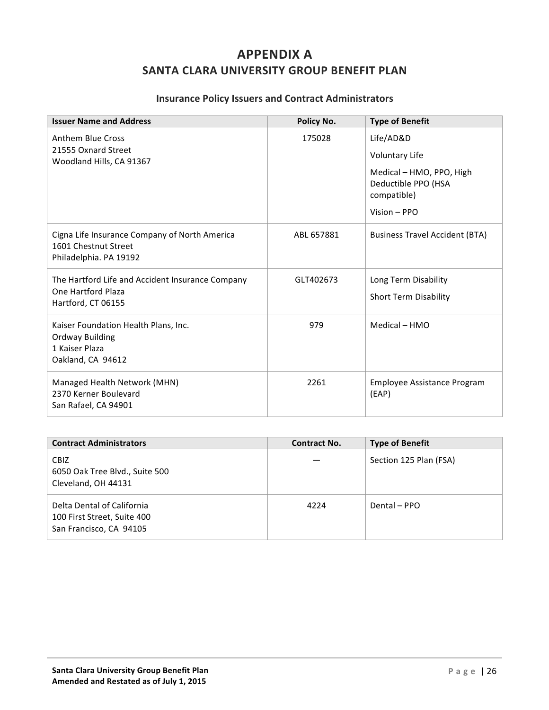# **APPENDIX A SANTA CLARA UNIVERSITY GROUP BENEFIT PLAN**

# **Insurance Policy Issuers and Contract Administrators**

| <b>Issuer Name and Address</b>                                                                  | Policy No. | <b>Type of Benefit</b>                                         |
|-------------------------------------------------------------------------------------------------|------------|----------------------------------------------------------------|
| Anthem Blue Cross<br>21555 Oxnard Street                                                        | 175028     | Life/AD&D                                                      |
| Woodland Hills, CA 91367                                                                        |            | <b>Voluntary Life</b>                                          |
|                                                                                                 |            | Medical - HMO, PPO, High<br>Deductible PPO (HSA<br>compatible) |
|                                                                                                 |            | Vision - PPO                                                   |
| Cigna Life Insurance Company of North America<br>1601 Chestnut Street<br>Philadelphia. PA 19192 | ABL 657881 | <b>Business Travel Accident (BTA)</b>                          |
| The Hartford Life and Accident Insurance Company                                                | GLT402673  | Long Term Disability                                           |
| One Hartford Plaza<br>Hartford, CT 06155                                                        |            | <b>Short Term Disability</b>                                   |
| Kaiser Foundation Health Plans, Inc.                                                            | 979        | Medical - HMO                                                  |
| <b>Ordway Building</b><br>1 Kaiser Plaza                                                        |            |                                                                |
| Oakland, CA 94612                                                                               |            |                                                                |
| Managed Health Network (MHN)<br>2370 Kerner Boulevard<br>San Rafael, CA 94901                   | 2261       | Employee Assistance Program<br>(EAP)                           |

| <b>Contract Administrators</b>                                                       | <b>Contract No.</b> | <b>Type of Benefit</b> |
|--------------------------------------------------------------------------------------|---------------------|------------------------|
| CBIZ<br>6050 Oak Tree Blvd., Suite 500<br>Cleveland, OH 44131                        |                     | Section 125 Plan (FSA) |
| Delta Dental of California<br>100 First Street, Suite 400<br>San Francisco, CA 94105 | 4224                | Dental - PPO           |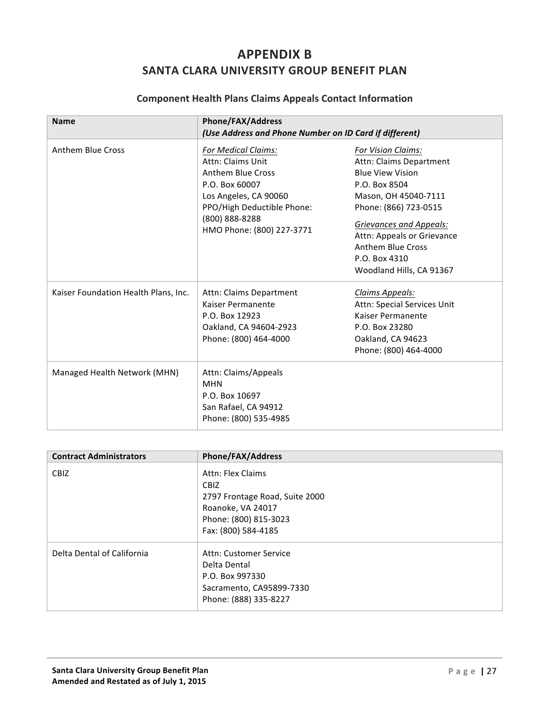# **APPENDIX B SANTA CLARA UNIVERSITY GROUP BENEFIT PLAN**

# **Component Health Plans Claims Appeals Contact Information**

| <b>Name</b>                          | <b>Phone/FAX/Address</b><br>(Use Address and Phone Number on ID Card if different)                                                                                                                  |                                                                                                                                                                                                                                                                                     |
|--------------------------------------|-----------------------------------------------------------------------------------------------------------------------------------------------------------------------------------------------------|-------------------------------------------------------------------------------------------------------------------------------------------------------------------------------------------------------------------------------------------------------------------------------------|
| <b>Anthem Blue Cross</b>             | <b>For Medical Claims:</b><br>Attn: Claims Unit<br><b>Anthem Blue Cross</b><br>P.O. Box 60007<br>Los Angeles, CA 90060<br>PPO/High Deductible Phone:<br>(800) 888-8288<br>HMO Phone: (800) 227-3771 | For Vision Claims:<br>Attn: Claims Department<br><b>Blue View Vision</b><br>P.O. Box 8504<br>Mason, OH 45040-7111<br>Phone: (866) 723-0515<br><b>Grievances and Appeals:</b><br>Attn: Appeals or Grievance<br><b>Anthem Blue Cross</b><br>P.O. Box 4310<br>Woodland Hills, CA 91367 |
| Kaiser Foundation Health Plans, Inc. | Attn: Claims Department<br>Kaiser Permanente<br>P.O. Box 12923<br>Oakland, CA 94604-2923<br>Phone: (800) 464-4000                                                                                   | Claims Appeals:<br>Attn: Special Services Unit<br>Kaiser Permanente<br>P.O. Box 23280<br>Oakland, CA 94623<br>Phone: (800) 464-4000                                                                                                                                                 |
| Managed Health Network (MHN)         | Attn: Claims/Appeals<br><b>MHN</b><br>P.O. Box 10697<br>San Rafael, CA 94912<br>Phone: (800) 535-4985                                                                                               |                                                                                                                                                                                                                                                                                     |

| <b>Contract Administrators</b> | <b>Phone/FAX/Address</b>                                                                                                                |
|--------------------------------|-----------------------------------------------------------------------------------------------------------------------------------------|
| <b>CBIZ</b>                    | Attn: Flex Claims<br><b>CBIZ</b><br>2797 Frontage Road, Suite 2000<br>Roanoke, VA 24017<br>Phone: (800) 815-3023<br>Fax: (800) 584-4185 |
| Delta Dental of California     | Attn: Customer Service<br>Delta Dental<br>P.O. Box 997330<br>Sacramento, CA95899-7330<br>Phone: (888) 335-8227                          |